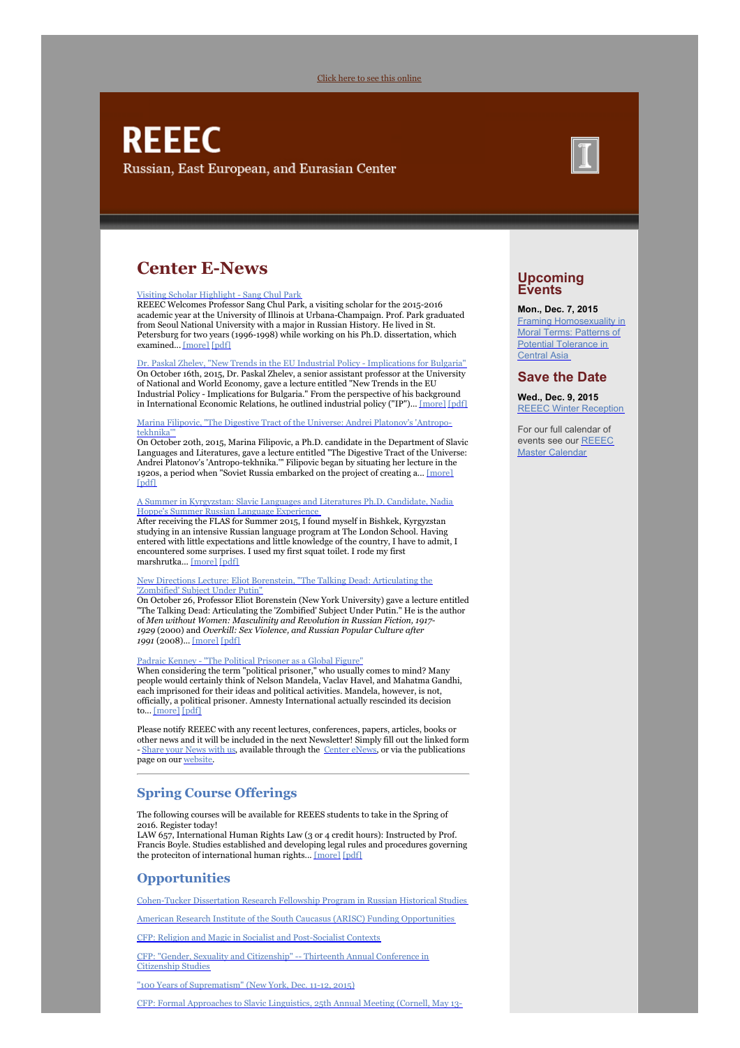#### Click here to see this [online](#page-0-0)

# <span id="page-0-0"></span>**REEEC** Russian, East European, and Eurasian Center

# **Center E-News**

#### Visiting Scholar [Highlight](https://reeecillinois.wordpress.com/2015/10/27/visiting-scholar-highlight-sang-chul-park/) - Sang Chul Park

REEEC Welcomes Professor Sang Chul Park, a visiting scholar for the 2015-2016 academic year at the University of Illinois at Urbana-Champaign. Prof. Park graduated from Seoul National University with a major in Russian History. He lived in St. Petersburg for two years (1996-1998) while working on his Ph.D. dissertation, which examined... [\[more\]](https://reeecillinois.wordpress.com/2015/10/27/visiting-scholar-highlight-sang-chul-park/) [\[pdf\]](http://www.reeec.illinois.edu/publications/center/documents/Park_Nov15.pdf)

Dr. Paskal Zhelev, "New Trends in the EU Industrial Policy - [Implications](https://reeecillinois.wordpress.com/2015/10/27/dr-paskal-zhelev-new-trends-in-the-eu-industrial-policy-implications-for-bulgaria/) for Bulgaria" On October 16th, 2015, Dr. Paskal Zhelev, a senior assistant professor at the University of National and World Economy, gave a lecture entitled "New Trends in the EU Industrial Policy - Implications for Bulgaria." From the perspective of his background in International Economic Relations, he outlined industrial policy ("IP")... [\[more\]](https://reeecillinois.wordpress.com/2015/10/27/dr-paskal-zhelev-new-trends-in-the-eu-industrial-policy-implications-for-bulgaria/) [\[pdf\]](http://www.reeec.illinois.edu/publications/center/documents/Zhelev_Nov15.pdf)

### Marina Filipovic, "The Digestive Tract of the Universe: Andrei [Platonov's](https://reeecillinois.wordpress.com/2015/10/30/marina-filipovic-the-digestive-tract-of-the-universe-andrei-platonovs-antropo-tekhnika/) 'Antropotekhnika

On October 20th, 2015, Marina Filipovic, a Ph.D. candidate in the Department of Slavic Languages and Literatures, gave a lecture entitled "The Digestive Tract of the Universe: Andrei Platonov's 'Antropo-tekhnika.'" Filipovic began by situating her lecture in the 1920s, a period when "Soviet Russia embarked on the project of creating a... [\[more\]](https://reeecillinois.wordpress.com/2015/10/30/marina-filipovic-the-digestive-tract-of-the-universe-andrei-platonovs-antropo-tekhnika/) [\[pdf\]](http://www.reeec.illinois.edu/publications/center/documents/Filipovic_Nov15.pdf)

#### A Summer in [Kyrgyzstan:](https://reeecillinois.wordpress.com/2015/11/03/a-summer-in-kyrgyzstan-slavic-languages-and-literatures-ph-d-candidate-nadia-hoppes-summer-russian-language-experience/) Slavic Languages and Literatures Ph.D. Candidate, Nadia Hoppe's Summer Russian Language Experience

After receiving the FLAS for Summer 2015, I found myself in Bishkek, Kyrgyzstan studying in an intensive Russian language program at The London School. Having entered with little expectations and little knowledge of the country, I have to admit, I encountered some surprises. I used my first squat toilet. I rode my first marshrutka... [\[more\]](https://reeecillinois.wordpress.com/2015/11/03/a-summer-in-kyrgyzstan-slavic-languages-and-literatures-ph-d-candidate-nadia-hoppes-summer-russian-language-experience/) [\[pdf\]](http://www.reeec.illinois.edu/publications/center/documents/Hoppe_Nov15.pdf)

### New Directions Lecture: Eliot Borenstein, "The Talking Dead: [Articulating](https://reeecillinois.wordpress.com/2015/11/10/new-directions-lecture-eliot-borenstein-the-talking-dead-articulating-the-zombified-subject-under-putin/) the 'Zombified' Subject Under Putin"

On October 26, Professor Eliot Borenstein (New York University) gave a lecture entitled "The Talking Dead: Articulating the 'Zombified' Subject Under Putin." He is the author of *Men without Women: Masculinity and Revolution in Russian Fiction, 1917- 1929* (2000) and *Overkill: Sex Violence, and Russian Popular Culture after 1991* (2008)... [\[more\]](https://reeecillinois.wordpress.com/2015/11/10/new-directions-lecture-eliot-borenstein-the-talking-dead-articulating-the-zombified-subject-under-putin/) [\[pdf\]](http://www.reeec.illinois.edu/publications/center/documents/Borenstein_Nov15.pdf)

## Padraic Kenney - "The Political [Prisoner](https://reeecillinois.wordpress.com/2015/11/17/padraic-kenney-the-political-prisoner-as-a-global-figure/) as a Global Figure"

When considering the term "political prisoner," who usually comes to mind? Many people would certainly think of Nelson Mandela, Vaclav Havel, and Mahatma Gandhi, each imprisoned for their ideas and political activities. Mandela, however, is not, officially, a political prisoner. Amnesty International actually rescinded its decision to... [\[more\]](https://reeecillinois.wordpress.com/2015/11/17/padraic-kenney-the-political-prisoner-as-a-global-figure/) [\[pdf\]](http://www.reeec.illinois.edu/publications/center/documents/Kenney_Nov15.pdf)

Please notify REEEC with any recent lectures, conferences, papers, articles, books or other news and it will be included in the next Newsletter! Simply fill out the linked form - [Share](https://illinois.edu/fb/sec/6950006) your News with us, available through the [Center](http://reeecillinois.wordpress.com/) eNews, or via the publications page on our [website](http://www.reeec.illinois.edu/publications/).

# **Spring Course Offerings**

The following courses will be available for REEES students to take in the Spring of 2016. Register today!

LAW 657, International Human Rights Law (3 or 4 credit hours): Instructed by Prof. Francis Boyle. Studies established and developing legal rules and procedures governing the proteciton of international human rights... [\[more\]](https://reeecillinois.wordpress.com/2015/11/16/spring-2016-reees-related-course-offerings/) [\[pdf\]](http://www.reeec.illinois.edu/publications/center/documents/SpringCourses_Nov15.pdf)

# **Opportunities**

[Cohen-Tucker](http://www.reeec.illinois.edu/resources/opportunities/#internships) Dissertation Research Fellowship Program in Russian Historical Studies

American Research Institute of the South Caucasus (ARISC) Funding [Opportunities](http://www.reeec.illinois.edu/resources/opportunities/#internships)

CFP: Religion and Magic in Socialist and [Post-Socialist](http://www.reeec.illinois.edu/resources/opportunities/#submissions) Contexts

CFP: "Gender, Sexuality and [Citizenship"](http://www.reeec.illinois.edu/resources/opportunities/#submissions) -- Thirteenth Annual Conference in Citizenship Studies

"100 Years of [Suprematism"](http://www.reeec.illinois.edu/resources/opportunities/#conferences) (New York, Dec. 11-12, 2015)

CFP: Formal [Approaches](http://www.reeec.illinois.edu/resources/opportunities/#submissions) to Slavic Linguistics, 25th Annual Meeting (Cornell, May 13-



# **Upcoming Events**

#### **Mon., Dec. 7, 2015**

**Framing [Homosexuality](http://illinois.edu/calendar/detail/2750?eventId=32969199&calMin=201512&cal=20151201&skinId=2905) in** Moral Terms: Patterns of Potential Tolerance in **Central Asia** 

# **Save the Date**

**Wed., Dec. 9, 2015** REEEC Winter [Reception](http://illinois.edu/calendar/detail/2750?eventId=33050074&calMin=201512&cal=20151201&skinId=2905)

For our full calendar of events see our REEEC Master [Calendar](http://illinois.edu/calendar/list/2750)